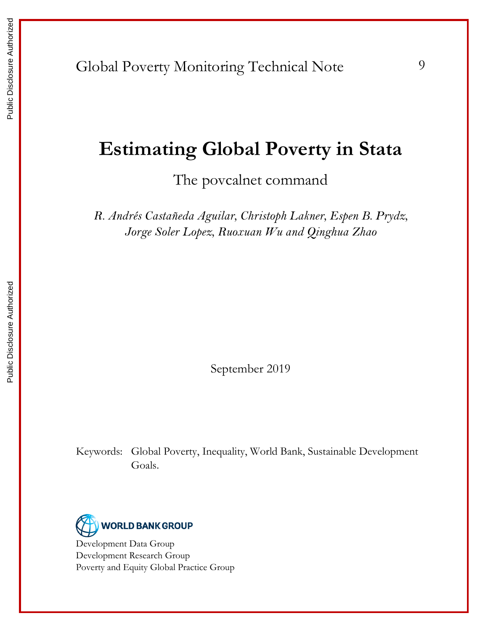# **Estimating Global Poverty in Stata**

The povcalnet command

*R. Andrés Castañeda Aguilar, Christoph Lakner, Espen B. Prydz, Jorge Soler Lopez, Ruoxuan Wu and Qinghua Zhao*

September 2019

Keywords: Global Poverty, Inequality, World Bank, Sustainable Development Goals.



Development Data Group Development Research Group Poverty and Equity Global Practice Group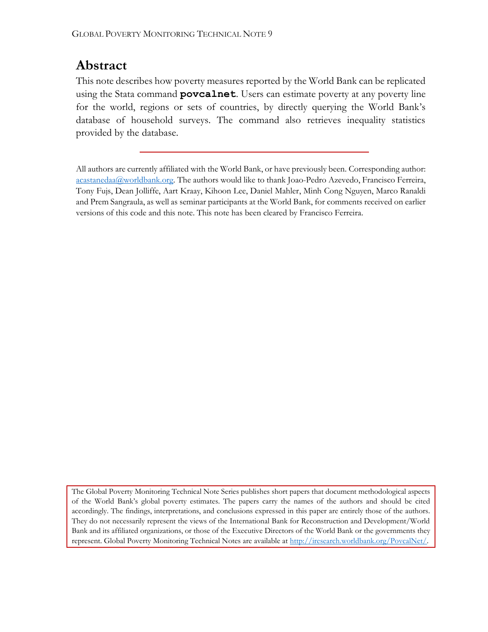## **Abstract**

This note describes how poverty measures reported by the World Bank can be replicated using the Stata command **povcalnet**. Users can estimate poverty at any poverty line for the world, regions or sets of countries, by directly querying the World Bank's database of household surveys. The command also retrieves inequality statistics provided by the database.

All authors are currently affiliated with the World Bank, or have previously been. Corresponding author: [acastanedaa@worldbank.org.](mailto:acastanedaa@worldbank.org) The authors would like to thank Joao-Pedro Azevedo, Francisco Ferreira, Tony Fujs, Dean Jolliffe, Aart Kraay, Kihoon Lee, Daniel Mahler, Minh Cong Nguyen, Marco Ranaldi and Prem Sangraula, as well as seminar participants at the World Bank, for comments received on earlier versions of this code and this note. This note has been cleared by Francisco Ferreira.

The Global Poverty Monitoring Technical Note Series publishes short papers that document methodological aspects of the World Bank's global poverty estimates. The papers carry the names of the authors and should be cited accordingly. The findings, interpretations, and conclusions expressed in this paper are entirely those of the authors. They do not necessarily represent the views of the International Bank for Reconstruction and Development/World Bank and its affiliated organizations, or those of the Executive Directors of the World Bank or the governments they represent. Global Poverty Monitoring Technical Notes are available at [http://iresearch.worldbank.org/PovcalNet/.](http://iresearch.worldbank.org/PovcalNet/)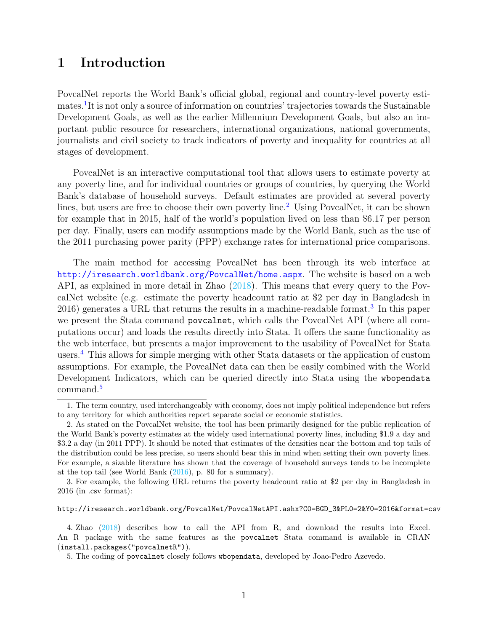### 1 Introduction

PovcalNet reports the World Bank's official global, regional and country-level poverty estimates.<sup>1</sup>It is not only a source of information on countries' trajectories towards the Sustainable Development Goals, as well as the earlier Millennium Development Goals, but also an important public resource for researchers, international organizations, national governments, journalists and civil society to track indicators of poverty and inequality for countries at all stages of development.

PovcalNet is an interactive computational tool that allows users to estimate poverty at any poverty line, and for individual countries or groups of countries, by querying the World Bank's database of household surveys. Default estimates are provided at several poverty lines, but users are free to choose their own poverty line.<sup>2</sup> Using PovcalNet, it can be shown for example that in 2015, half of the world's population lived on less than \$6.17 per person per day. Finally, users can modify assumptions made by the World Bank, such as the use of the 2011 purchasing power parity (PPP) exchange rates for international price comparisons.

The main method for accessing PovcalNet has been through its web interface at <http://iresearch.worldbank.org/PovcalNet/home.aspx>. The website is based on a web API, as explained in more detail in Zhao (2018). This means that every query to the PovcalNet website (e.g. estimate the poverty headcount ratio at \$2 per day in Bangladesh in 2016) generates a URL that returns the results in a machine-readable format.<sup>3</sup> In this paper we present the Stata command povcalnet, which calls the PovcalNet API (where all computations occur) and loads the results directly into Stata. It offers the same functionality as the web interface, but presents a major improvement to the usability of PovcalNet for Stata users.4 This allows for simple merging with other Stata datasets or the application of custom assumptions. For example, the PovcalNet data can then be easily combined with the World Development Indicators, which can be queried directly into Stata using the wbopendata command.<sup>5</sup>

http://iresearch.worldbank.org/PovcalNet/PovcalNetAPI.ashx?C0=BGD\_3&PL0=2&Y0=2016&format=csv

<sup>1.</sup> The term country, used interchangeably with economy, does not imply political independence but refers to any territory for which authorities report separate social or economic statistics.

<sup>2.</sup> As stated on the PovcalNet website, the tool has been primarily designed for the public replication of the World Bank's poverty estimates at the widely used international poverty lines, including \$1.9 a day and \$3.2 a day (in 2011 PPP). It should be noted that estimates of the densities near the bottom and top tails of the distribution could be less precise, so users should bear this in mind when setting their own poverty lines. For example, a sizable literature has shown that the coverage of household surveys tends to be incomplete at the top tail (see World Bank (2016), p. 80 for a summary).

<sup>3.</sup> For example, the following URL returns the poverty headcount ratio at \$2 per day in Bangladesh in 2016 (in .csv format):

<sup>4.</sup> Zhao (2018) describes how to call the API from R, and download the results into Excel. An R package with the same features as the povcalnet Stata command is available in CRAN (install.packages("povcalnetR")).

<sup>5.</sup> The coding of povcalnet closely follows wbopendata, developed by Joao-Pedro Azevedo.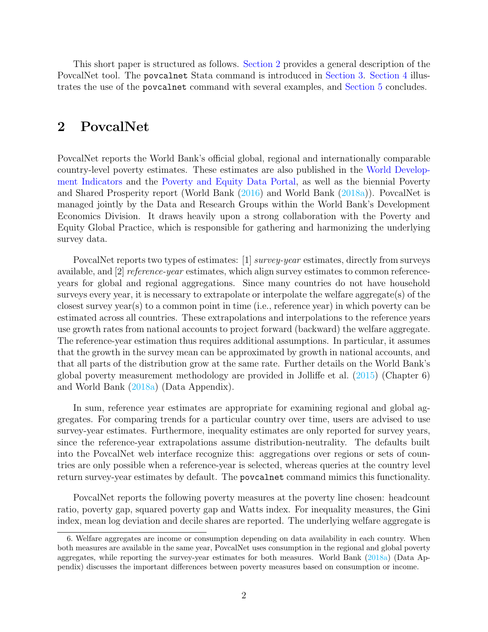This short paper is structured as follows. Section 2 provides a general description of the PovcalNet tool. The povcalnet Stata command is introduced in Section 3. Section 4 illustrates the use of the povcalnet command with several examples, and Section 5 concludes.

### 2 PovcalNet

PovcalNet reports the World Bank's official global, regional and internationally comparable country-level poverty estimates. These estimates are also published in the [World Develop](https://data.worldbank.org/products/wdi)[ment Indicators](https://data.worldbank.org/products/wdi) and the [Poverty and Equity Data Portal,](http://povertydata.worldbank.org/poverty/home/) as well as the biennial Poverty and Shared Prosperity report (World Bank (2016) and World Bank (2018a)). PovcalNet is managed jointly by the Data and Research Groups within the World Bank's Development Economics Division. It draws heavily upon a strong collaboration with the Poverty and Equity Global Practice, which is responsible for gathering and harmonizing the underlying survey data.

PovcalNet reports two types of estimates: [1] survey-year estimates, directly from surveys available, and [2] reference-year estimates, which align survey estimates to common referenceyears for global and regional aggregations. Since many countries do not have household surveys every year, it is necessary to extrapolate or interpolate the welfare aggregate(s) of the closest survey year(s) to a common point in time (i.e., reference year) in which poverty can be estimated across all countries. These extrapolations and interpolations to the reference years use growth rates from national accounts to project forward (backward) the welfare aggregate. The reference-year estimation thus requires additional assumptions. In particular, it assumes that the growth in the survey mean can be approximated by growth in national accounts, and that all parts of the distribution grow at the same rate. Further details on the World Bank's global poverty measurement methodology are provided in Jolliffe et al. (2015) (Chapter 6) and World Bank (2018a) (Data Appendix).

In sum, reference year estimates are appropriate for examining regional and global aggregates. For comparing trends for a particular country over time, users are advised to use survey-year estimates. Furthermore, inequality estimates are only reported for survey years, since the reference-year extrapolations assume distribution-neutrality. The defaults built into the PovcalNet web interface recognize this: aggregations over regions or sets of countries are only possible when a reference-year is selected, whereas queries at the country level return survey-year estimates by default. The povcalnet command mimics this functionality.

PovcalNet reports the following poverty measures at the poverty line chosen: headcount ratio, poverty gap, squared poverty gap and Watts index. For inequality measures, the Gini index, mean log deviation and decile shares are reported. The underlying welfare aggregate is

<sup>6.</sup> Welfare aggregates are income or consumption depending on data availability in each country. When both measures are available in the same year, PovcalNet uses consumption in the regional and global poverty aggregates, while reporting the survey-year estimates for both measures. World Bank (2018a) (Data Appendix) discusses the important differences between poverty measures based on consumption or income.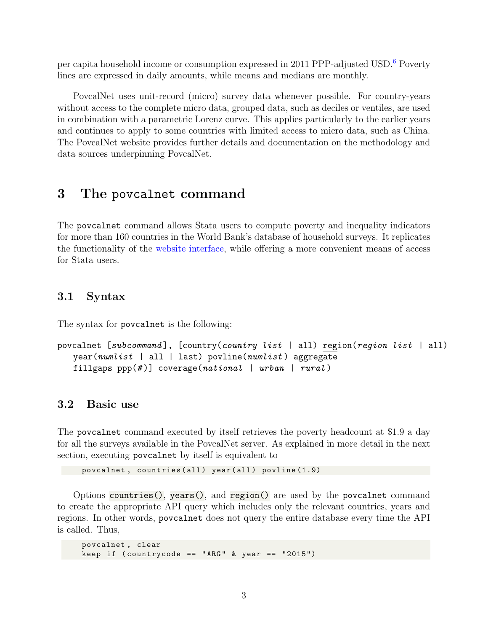per capita household income or consumption expressed in 2011 PPP-adjusted USD.6 Poverty lines are expressed in daily amounts, while means and medians are monthly.

PovcalNet uses unit-record (micro) survey data whenever possible. For country-years without access to the complete micro data, grouped data, such as deciles or ventiles, are used in combination with a parametric Lorenz curve. This applies particularly to the earlier years and continues to apply to some countries with limited access to micro data, such as China. The PovcalNet website provides further details and documentation on the methodology and data sources underpinning PovcalNet.

### 3 The povcalnet command

The povcalnet command allows Stata users to compute poverty and inequality indicators for more than 160 countries in the World Bank's database of household surveys. It replicates the functionality of the [website interface,](http://iresearch.worldbank.org/PovcalNet/home.aspx) while offering a more convenient means of access for Stata users.

#### 3.1 Syntax

The syntax for povcalnet is the following:

```
povcalnet [subcommand], [country(country list | all) region(region list | all)
   year(numlist | all | last) youline(numlist) aggregatefillgaps ppp(\#)] coverage(national | urban | rural)
```
#### 3.2 Basic use

The povcalnet command executed by itself retrieves the poverty headcount at \$1.9 a day for all the surveys available in the PovcalNet server. As explained in more detail in the next section, executing povcalnet by itself is equivalent to

povcalnet, countries (all) year (all) povline (1.9)

Options countries(), years(), and region() are used by the povcalnet command to create the appropriate API query which includes only the relevant countries, years and regions. In other words, povcalnet does not query the entire database every time the API is called. Thus,

```
povcalnet , clear
keep if (countrycode == "ARG" & year == "2015")
```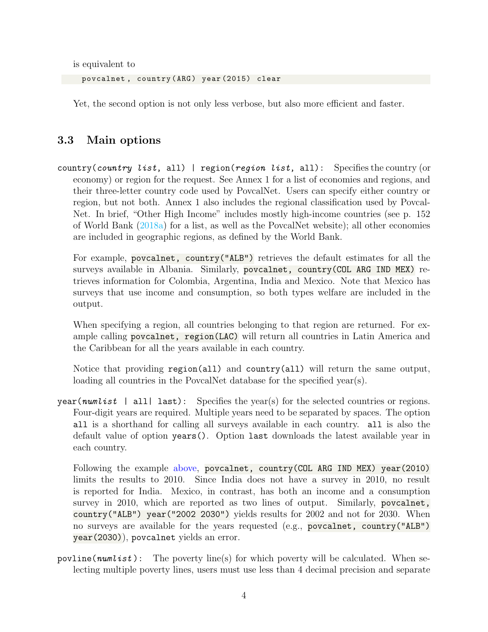is equivalent to

povcalnet, country (ARG) year (2015) clear

Yet, the second option is not only less verbose, but also more efficient and faster.

### 3.3 Main options

country(country list, all) | region(region list, all): Specifies the country (or economy) or region for the request. See Annex 1 for a list of economies and regions, and their three-letter country code used by PovcalNet. Users can specify either country or region, but not both. Annex 1 also includes the regional classification used by Povcal-Net. In brief, "Other High Income" includes mostly high-income countries (see p. 152 of World Bank (2018a) for a list, as well as the PovcalNet website); all other economies are included in geographic regions, as defined by the World Bank.

For example, povcalnet, country("ALB") retrieves the default estimates for all the surveys available in Albania. Similarly, povcalnet, country(COL ARG IND MEX) retrieves information for Colombia, Argentina, India and Mexico. Note that Mexico has surveys that use income and consumption, so both types welfare are included in the output.

When specifying a region, all countries belonging to that region are returned. For example calling povcalnet, region(LAC) will return all countries in Latin America and the Caribbean for all the years available in each country.

Notice that providing region(all) and country(all) will return the same output, loading all countries in the PovcalNet database for the specified year(s).

year(*numlist* | all| last): Specifies the year(s) for the selected countries or regions. Four-digit years are required. Multiple years need to be separated by spaces. The option all is a shorthand for calling all surveys available in each country. all is also the default value of option years(). Option last downloads the latest available year in each country.

Following the example above, povcalnet, country(COL ARG IND MEX) year(2010) limits the results to 2010. Since India does not have a survey in 2010, no result is reported for India. Mexico, in contrast, has both an income and a consumption survey in 2010, which are reported as two lines of output. Similarly, povcalnet, country("ALB") year("2002 2030") yields results for 2002 and not for 2030. When no surveys are available for the years requested (e.g., povcalnet, country("ALB") year(2030)), povcalnet yields an error.

povline( $numlist$ ): The poverty line(s) for which poverty will be calculated. When selecting multiple poverty lines, users must use less than 4 decimal precision and separate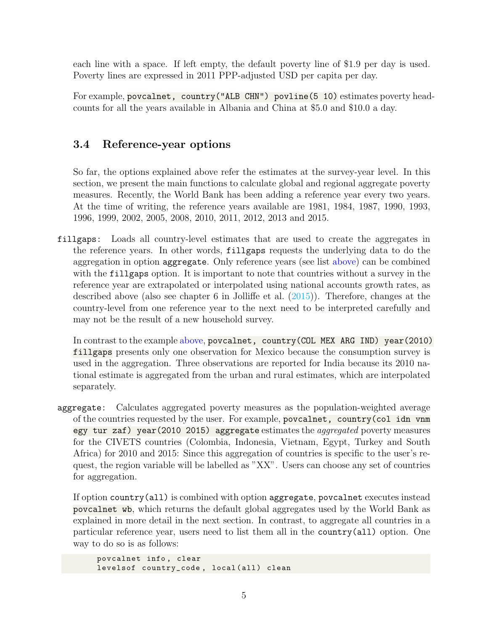each line with a space. If left empty, the default poverty line of \$1.9 per day is used. Poverty lines are expressed in 2011 PPP-adjusted USD per capita per day.

For example, povcalnet, country ("ALB CHN") povline (5 10) estimates poverty headcounts for all the years available in Albania and China at \$5.0 and \$10.0 a day.

### 3.4 Reference-year options

So far, the options explained above refer the estimates at the survey-year level. In this section, we present the main functions to calculate global and regional aggregate poverty measures. Recently, the World Bank has been adding a reference year every two years. At the time of writing, the reference years available are 1981, 1984, 1987, 1990, 1993, 1996, 1999, 2002, 2005, 2008, 2010, 2011, 2012, 2013 and 2015.

fillgaps: Loads all country-level estimates that are used to create the aggregates in the reference years. In other words, fillgaps requests the underlying data to do the aggregation in option aggregate. Only reference years (see list above) can be combined with the fillgaps option. It is important to note that countries without a survey in the reference year are extrapolated or interpolated using national accounts growth rates, as described above (also see chapter 6 in Jolliffe et al. (2015)). Therefore, changes at the country-level from one reference year to the next need to be interpreted carefully and may not be the result of a new household survey.

In contrast to the example above, povcalnet, country(COL MEX ARG IND) year(2010) fillgaps presents only one observation for Mexico because the consumption survey is used in the aggregation. Three observations are reported for India because its 2010 national estimate is aggregated from the urban and rural estimates, which are interpolated separately.

aggregate: Calculates aggregated poverty measures as the population-weighted average of the countries requested by the user. For example, povcalnet, country(col idn vnm egy tur zaf) year(2010 2015) aggregate estimates the aggregated poverty measures for the CIVETS countries (Colombia, Indonesia, Vietnam, Egypt, Turkey and South Africa) for 2010 and 2015: Since this aggregation of countries is specific to the user's request, the region variable will be labelled as "XX". Users can choose any set of countries for aggregation.

If option country(all) is combined with option aggregate, povcalnet executes instead povcalnet wb, which returns the default global aggregates used by the World Bank as explained in more detail in the next section. In contrast, to aggregate all countries in a particular reference year, users need to list them all in the country(all) option. One way to do so is as follows:

```
povcalnet info , clear
levelsof country_code, local (all) clean
```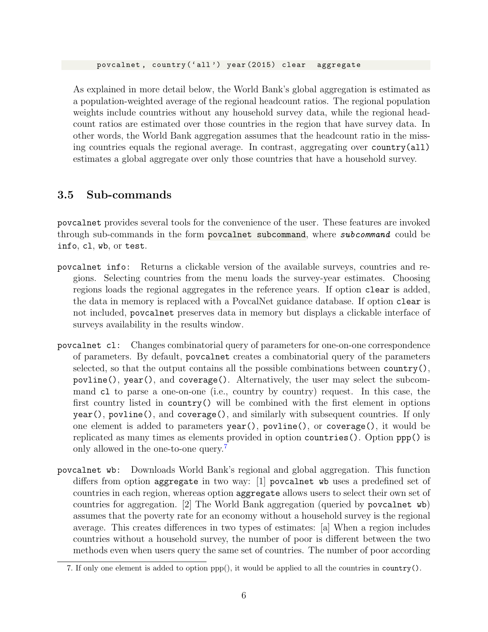As explained in more detail below, the World Bank's global aggregation is estimated as a population-weighted average of the regional headcount ratios. The regional population weights include countries without any household survey data, while the regional headcount ratios are estimated over those countries in the region that have survey data. In other words, the World Bank aggregation assumes that the headcount ratio in the missing countries equals the regional average. In contrast, aggregating over country(all) estimates a global aggregate over only those countries that have a household survey.

### 3.5 Sub-commands

povcalnet provides several tools for the convenience of the user. These features are invoked through sub-commands in the form povcalnet subcommand, where *subcommand* could be info, cl, wb, or test.

- povcalnet info: Returns a clickable version of the available surveys, countries and regions. Selecting countries from the menu loads the survey-year estimates. Choosing regions loads the regional aggregates in the reference years. If option clear is added, the data in memory is replaced with a PovcalNet guidance database. If option clear is not included, povcalnet preserves data in memory but displays a clickable interface of surveys availability in the results window.
- povcalnet cl: Changes combinatorial query of parameters for one-on-one correspondence of parameters. By default, povcalnet creates a combinatorial query of the parameters selected, so that the output contains all the possible combinations between country(), povline(), year(), and coverage(). Alternatively, the user may select the subcommand cl to parse a one-on-one (i.e., country by country) request. In this case, the first country listed in country() will be combined with the first element in options year(), povline(), and coverage(), and similarly with subsequent countries. If only one element is added to parameters year(), povline(), or coverage(), it would be replicated as many times as elements provided in option countries(). Option ppp() is only allowed in the one-to-one query.<sup>7</sup>
- povcalnet wb: Downloads World Bank's regional and global aggregation. This function differs from option aggregate in two way: [1] povcalnet wb uses a predefined set of countries in each region, whereas option aggregate allows users to select their own set of countries for aggregation. [2] The World Bank aggregation (queried by povcalnet wb) assumes that the poverty rate for an economy without a household survey is the regional average. This creates differences in two types of estimates: [a] When a region includes countries without a household survey, the number of poor is different between the two methods even when users query the same set of countries. The number of poor according

<sup>7.</sup> If only one element is added to option  $ppp()$ , it would be applied to all the countries in country().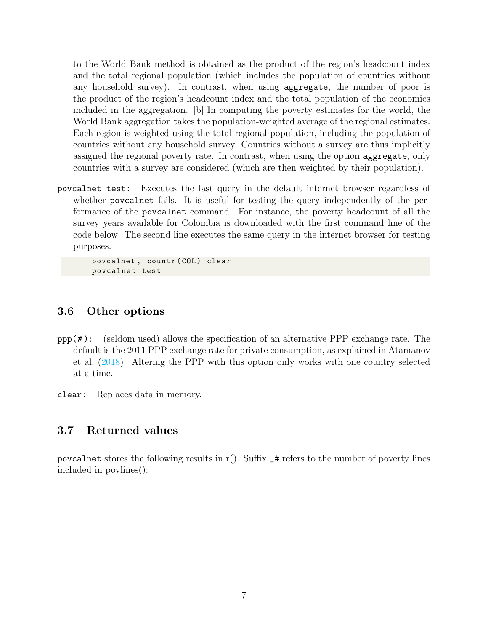to the World Bank method is obtained as the product of the region's headcount index and the total regional population (which includes the population of countries without any household survey). In contrast, when using aggregate, the number of poor is the product of the region's headcount index and the total population of the economies included in the aggregation. [b] In computing the poverty estimates for the world, the World Bank aggregation takes the population-weighted average of the regional estimates. Each region is weighted using the total regional population, including the population of countries without any household survey. Countries without a survey are thus implicitly assigned the regional poverty rate. In contrast, when using the option aggregate, only countries with a survey are considered (which are then weighted by their population).

povcalnet test: Executes the last query in the default internet browser regardless of whether povcalnet fails. It is useful for testing the query independently of the performance of the povcalnet command. For instance, the poverty headcount of all the survey years available for Colombia is downloaded with the first command line of the code below. The second line executes the same query in the internet browser for testing purposes.

povcalnet, countr (COL) clear povcalnet test

#### 3.6 Other options

 $ppp(\#):$  (seldom used) allows the specification of an alternative PPP exchange rate. The default is the 2011 PPP exchange rate for private consumption, as explained in Atamanov et al. (2018). Altering the PPP with this option only works with one country selected at a time.

clear: Replaces data in memory.

#### 3.7 Returned values

povcalnet stores the following results in  $r()$ . Suffix  $\pm$  refers to the number of poverty lines included in povlines():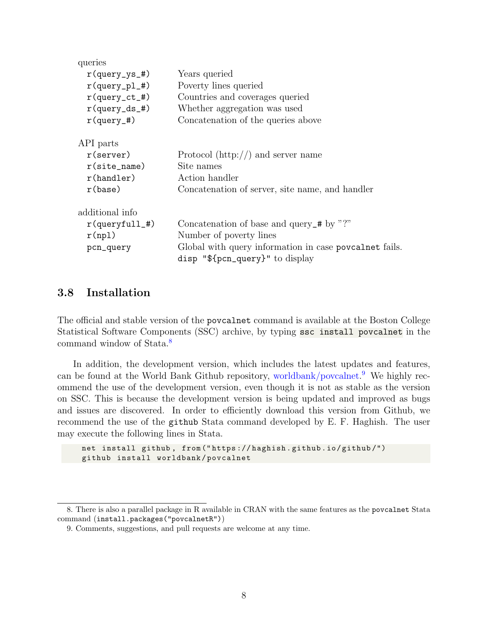| queries           |                                                                                               |  |  |  |  |
|-------------------|-----------------------------------------------------------------------------------------------|--|--|--|--|
| $r$ (query_ys_#)  | Years queried                                                                                 |  |  |  |  |
| $r$ (query_pl_#)  | Poverty lines queried                                                                         |  |  |  |  |
| $r$ (query_ct_#)  | Countries and coverages queried                                                               |  |  |  |  |
| $r$ (query_ds_#)  | Whether aggregation was used                                                                  |  |  |  |  |
| $r$ (query_#)     | Concatenation of the queries above                                                            |  |  |  |  |
| API parts         |                                                                                               |  |  |  |  |
| $r$ (server)      | Protocol $(\text{http://})$ and server name                                                   |  |  |  |  |
| $r(site_name)$    | Site names                                                                                    |  |  |  |  |
| r(handler)        | Action handler                                                                                |  |  |  |  |
| r(base)           | Concatenation of server, site name, and handler                                               |  |  |  |  |
| additional info   |                                                                                               |  |  |  |  |
| $r$ (queryfull_#) | Concatenation of base and query_# by "?"                                                      |  |  |  |  |
| r(np1)            | Number of poverty lines                                                                       |  |  |  |  |
| pcn_query         | Global with query information in case povcalnet fails.<br>disp " $\{pcn_query\}$ " to display |  |  |  |  |
|                   |                                                                                               |  |  |  |  |

#### 3.8 Installation

The official and stable version of the povcalnet command is available at the Boston College Statistical Software Components (SSC) archive, by typing ssc install povcalnet in the command window of Stata.8

In addition, the development version, which includes the latest updates and features, can be found at the World Bank Github repository, [worldbank/povcalnet.](https://github.com/worldbank/povcalnet) 9 We highly recommend the use of the development version, even though it is not as stable as the version on SSC. This is because the development version is being updated and improved as bugs and issues are discovered. In order to efficiently download this version from Github, we recommend the use of the github Stata command developed by E. F. Haghish. The user may execute the following lines in Stata.

```
net install github , from (" https :// haghish . github . io / github /")
github install worldbank / povcalnet
```
<sup>8.</sup> There is also a parallel package in R available in CRAN with the same features as the povcalnet Stata command (install.packages("povcalnetR"))

<sup>9.</sup> Comments, suggestions, and pull requests are welcome at any time.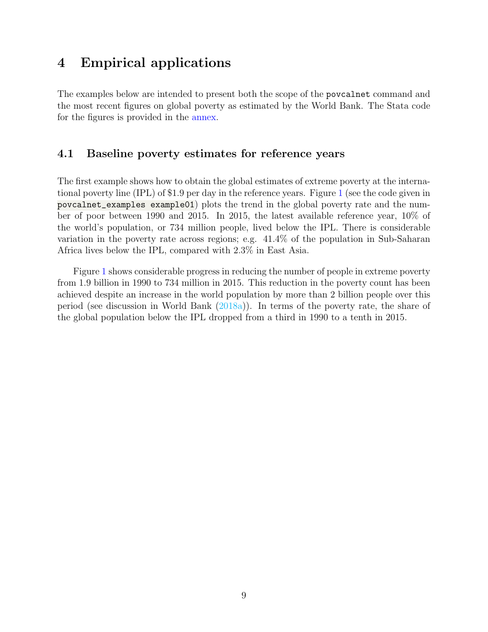### 4 Empirical applications

The examples below are intended to present both the scope of the povcalnet command and the most recent figures on global poverty as estimated by the World Bank. The Stata code for the figures is provided in the annex.

#### 4.1 Baseline poverty estimates for reference years

The first example shows how to obtain the global estimates of extreme poverty at the international poverty line (IPL) of \$1.9 per day in the reference years. Figure 1 (see the code given in povcalnet\_examples example01) plots the trend in the global poverty rate and the number of poor between 1990 and 2015. In 2015, the latest available reference year, 10% of the world's population, or 734 million people, lived below the IPL. There is considerable variation in the poverty rate across regions; e.g. 41.4% of the population in Sub-Saharan Africa lives below the IPL, compared with 2.3% in East Asia.

Figure 1 shows considerable progress in reducing the number of people in extreme poverty from 1.9 billion in 1990 to 734 million in 2015. This reduction in the poverty count has been achieved despite an increase in the world population by more than 2 billion people over this period (see discussion in World Bank (2018a)). In terms of the poverty rate, the share of the global population below the IPL dropped from a third in 1990 to a tenth in 2015.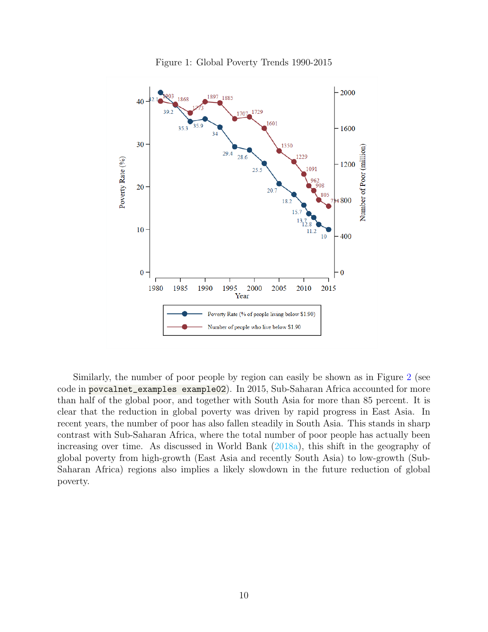

Figure 1: Global Poverty Trends 1990-2015

Similarly, the number of poor people by region can easily be shown as in Figure 2 (see code in povcalnet\_examples example02). In 2015, Sub-Saharan Africa accounted for more than half of the global poor, and together with South Asia for more than 85 percent. It is clear that the reduction in global poverty was driven by rapid progress in East Asia. In recent years, the number of poor has also fallen steadily in South Asia. This stands in sharp contrast with Sub-Saharan Africa, where the total number of poor people has actually been increasing over time. As discussed in World Bank (2018a), this shift in the geography of global poverty from high-growth (East Asia and recently South Asia) to low-growth (Sub-Saharan Africa) regions also implies a likely slowdown in the future reduction of global poverty.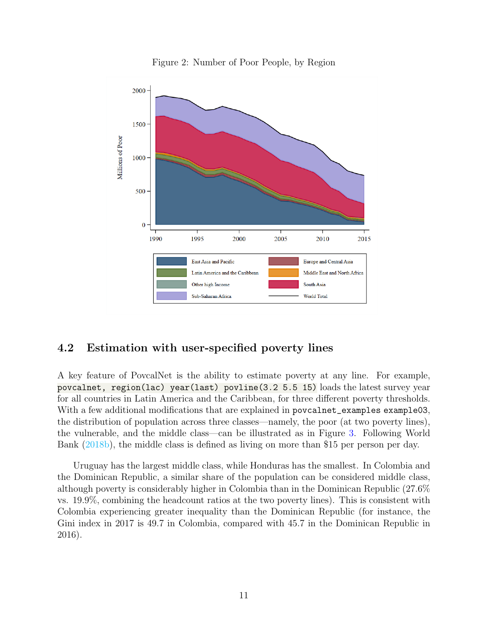

Figure 2: Number of Poor People, by Region

### 4.2 Estimation with user-specified poverty lines

A key feature of PovcalNet is the ability to estimate poverty at any line. For example, povcalnet, region(lac) year(last) povline(3.2 5.5 15) loads the latest survey year for all countries in Latin America and the Caribbean, for three different poverty thresholds. With a few additional modifications that are explained in povcalnet\_examples example03, the distribution of population across three classes—namely, the poor (at two poverty lines), the vulnerable, and the middle class—can be illustrated as in Figure 3. Following World Bank (2018b), the middle class is defined as living on more than \$15 per person per day.

Uruguay has the largest middle class, while Honduras has the smallest. In Colombia and the Dominican Republic, a similar share of the population can be considered middle class, although poverty is considerably higher in Colombia than in the Dominican Republic (27.6% vs. 19.9%, combining the headcount ratios at the two poverty lines). This is consistent with Colombia experiencing greater inequality than the Dominican Republic (for instance, the Gini index in 2017 is 49.7 in Colombia, compared with 45.7 in the Dominican Republic in 2016).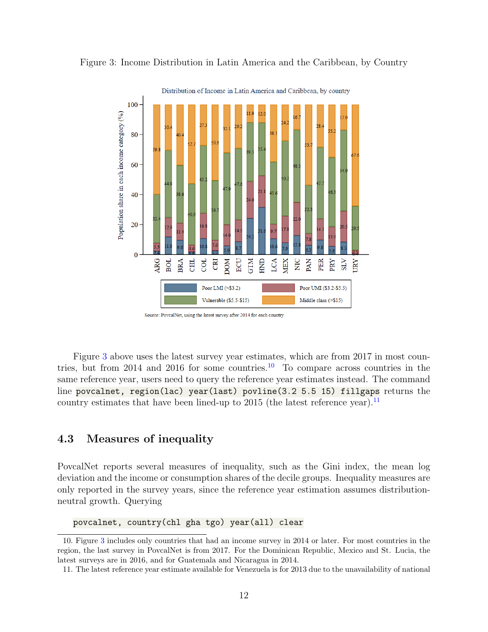

Figure 3: Income Distribution in Latin America and the Caribbean, by Country

Figure 3 above uses the latest survey year estimates, which are from 2017 in most countries, but from 2014 and 2016 for some countries.<sup>10</sup> To compare across countries in the same reference year, users need to query the reference year estimates instead. The command line povcalnet, region(lac) year(last) povline(3.2 5.5 15) fillgaps returns the country estimates that have been lined-up to 2015 (the latest reference year).  $\frac{11}{11}$ 

### 4.3 Measures of inequality

PovcalNet reports several measures of inequality, such as the Gini index, the mean log deviation and the income or consumption shares of the decile groups. Inequality measures are only reported in the survey years, since the reference year estimation assumes distributionneutral growth. Querying

povcalnet, country(chl gha tgo) year(all) clear

<sup>10.</sup> Figure 3 includes only countries that had an income survey in 2014 or later. For most countries in the region, the last survey in PovcalNet is from 2017. For the Dominican Republic, Mexico and St. Lucia, the latest surveys are in 2016, and for Guatemala and Nicaragua in 2014.

<sup>11.</sup> The latest reference year estimate available for Venezuela is for 2013 due to the unavailability of national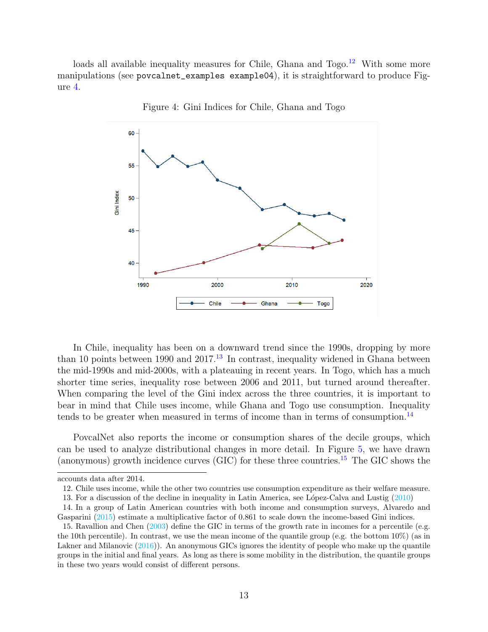loads all available inequality measures for Chile, Ghana and  $Togo.<sup>12</sup>$  With some more manipulations (see povcalnet\_examples example04), it is straightforward to produce Figure 4.



Figure 4: Gini Indices for Chile, Ghana and Togo

In Chile, inequality has been on a downward trend since the 1990s, dropping by more than 10 points between 1990 and 2017.<sup>13</sup> In contrast, inequality widened in Ghana between the mid-1990s and mid-2000s, with a plateauing in recent years. In Togo, which has a much shorter time series, inequality rose between 2006 and 2011, but turned around thereafter. When comparing the level of the Gini index across the three countries, it is important to bear in mind that Chile uses income, while Ghana and Togo use consumption. Inequality tends to be greater when measured in terms of income than in terms of consumption.<sup>14</sup>

PovcalNet also reports the income or consumption shares of the decile groups, which can be used to analyze distributional changes in more detail. In Figure 5, we have drawn (anonymous) growth incidence curves (GIC) for these three countries.<sup>15</sup> The GIC shows the

13. For a discussion of the decline in inequality in Latin America, see L´opez-Calva and Lustig (2010)

accounts data after 2014.

<sup>12.</sup> Chile uses income, while the other two countries use consumption expenditure as their welfare measure.

<sup>14.</sup> In a group of Latin American countries with both income and consumption surveys, Alvaredo and Gasparini (2015) estimate a multiplicative factor of 0.861 to scale down the income-based Gini indices.

<sup>15.</sup> Ravallion and Chen (2003) define the GIC in terms of the growth rate in incomes for a percentile (e.g. the 10th percentile). In contrast, we use the mean income of the quantile group (e.g. the bottom 10%) (as in Lakner and Milanovic (2016)). An anonymous GICs ignores the identity of people who make up the quantile groups in the initial and final years. As long as there is some mobility in the distribution, the quantile groups in these two years would consist of different persons.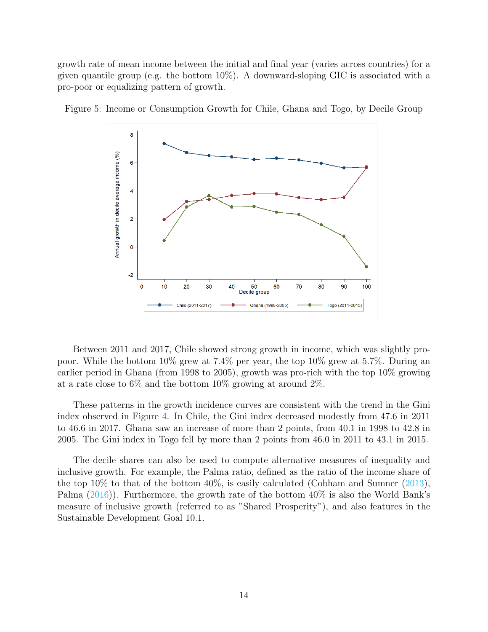growth rate of mean income between the initial and final year (varies across countries) for a given quantile group (e.g. the bottom 10%). A downward-sloping GIC is associated with a pro-poor or equalizing pattern of growth.



Figure 5: Income or Consumption Growth for Chile, Ghana and Togo, by Decile Group

Between 2011 and 2017, Chile showed strong growth in income, which was slightly propoor. While the bottom 10% grew at 7.4% per year, the top 10% grew at 5.7%. During an earlier period in Ghana (from 1998 to 2005), growth was pro-rich with the top 10% growing at a rate close to 6% and the bottom 10% growing at around 2%.

These patterns in the growth incidence curves are consistent with the trend in the Gini index observed in Figure 4. In Chile, the Gini index decreased modestly from 47.6 in 2011 to 46.6 in 2017. Ghana saw an increase of more than 2 points, from 40.1 in 1998 to 42.8 in 2005. The Gini index in Togo fell by more than 2 points from 46.0 in 2011 to 43.1 in 2015.

The decile shares can also be used to compute alternative measures of inequality and inclusive growth. For example, the Palma ratio, defined as the ratio of the income share of the top 10% to that of the bottom  $40\%$ , is easily calculated (Cobham and Sumner  $(2013)$ , Palma (2016)). Furthermore, the growth rate of the bottom 40% is also the World Bank's measure of inclusive growth (referred to as "Shared Prosperity"), and also features in the Sustainable Development Goal 10.1.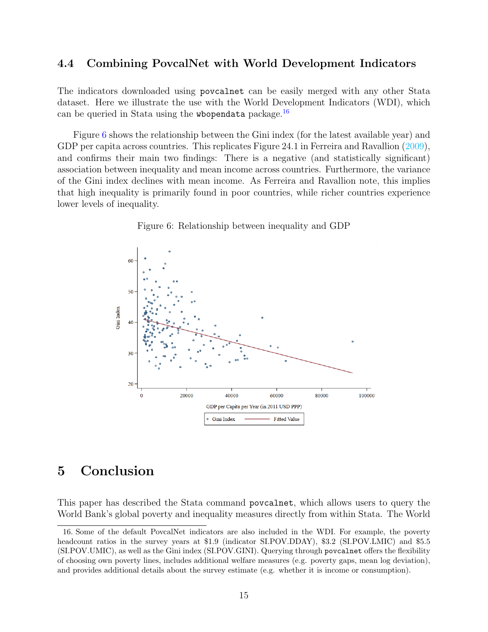#### 4.4 Combining PovcalNet with World Development Indicators

The indicators downloaded using povcalnet can be easily merged with any other Stata dataset. Here we illustrate the use with the World Development Indicators (WDI), which can be queried in Stata using the wbopendata package.<sup>16</sup>

Figure 6 shows the relationship between the Gini index (for the latest available year) and GDP per capita across countries. This replicates Figure 24.1 in Ferreira and Ravallion (2009), and confirms their main two findings: There is a negative (and statistically significant) association between inequality and mean income across countries. Furthermore, the variance of the Gini index declines with mean income. As Ferreira and Ravallion note, this implies that high inequality is primarily found in poor countries, while richer countries experience lower levels of inequality.



Figure 6: Relationship between inequality and GDP

### 5 Conclusion

This paper has described the Stata command povcalnet, which allows users to query the World Bank's global poverty and inequality measures directly from within Stata. The World

<sup>16.</sup> Some of the default PovcalNet indicators are also included in the WDI. For example, the poverty headcount ratios in the survey years at \$1.9 (indicator SI.POV.DDAY), \$3.2 (SI.POV.LMIC) and \$5.5 (SI.POV.UMIC), as well as the Gini index (SI.POV.GINI). Querying through povcalnet offers the flexibility of choosing own poverty lines, includes additional welfare measures (e.g. poverty gaps, mean log deviation), and provides additional details about the survey estimate (e.g. whether it is income or consumption).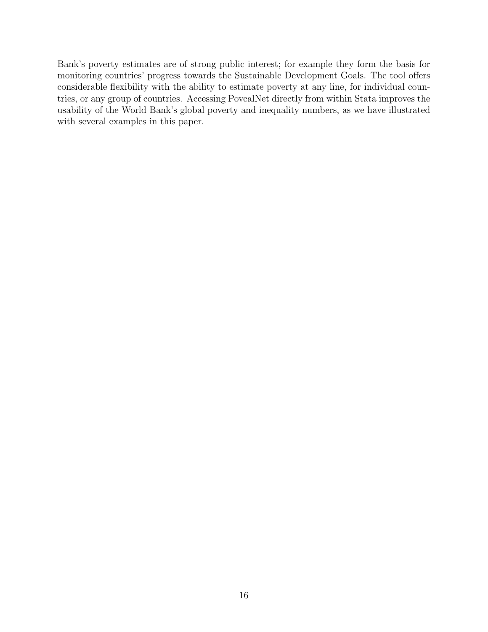Bank's poverty estimates are of strong public interest; for example they form the basis for monitoring countries' progress towards the Sustainable Development Goals. The tool offers considerable flexibility with the ability to estimate poverty at any line, for individual countries, or any group of countries. Accessing PovcalNet directly from within Stata improves the usability of the World Bank's global poverty and inequality numbers, as we have illustrated with several examples in this paper.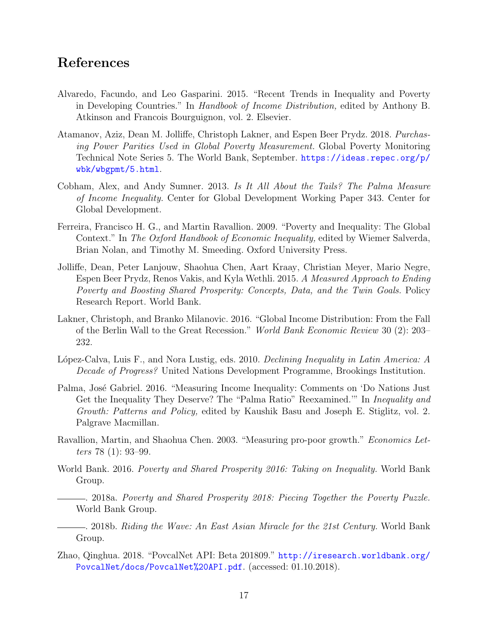### References

- Alvaredo, Facundo, and Leo Gasparini. 2015. "Recent Trends in Inequality and Poverty in Developing Countries." In Handbook of Income Distribution, edited by Anthony B. Atkinson and Francois Bourguignon, vol. 2. Elsevier.
- Atamanov, Aziz, Dean M. Jolliffe, Christoph Lakner, and Espen Beer Prydz. 2018. Purchasing Power Parities Used in Global Poverty Measurement. Global Poverty Monitoring Technical Note Series 5. The World Bank, September. [https://ideas.repec.org/p/](https://ideas.repec.org/p/wbk/wbgpmt/5.html) [wbk/wbgpmt/5.html](https://ideas.repec.org/p/wbk/wbgpmt/5.html).
- Cobham, Alex, and Andy Sumner. 2013. Is It All About the Tails? The Palma Measure of Income Inequality. Center for Global Development Working Paper 343. Center for Global Development.
- Ferreira, Francisco H. G., and Martin Ravallion. 2009. "Poverty and Inequality: The Global Context." In The Oxford Handbook of Economic Inequality, edited by Wiemer Salverda, Brian Nolan, and Timothy M. Smeeding. Oxford University Press.
- Jolliffe, Dean, Peter Lanjouw, Shaohua Chen, Aart Kraay, Christian Meyer, Mario Negre, Espen Beer Prydz, Renos Vakis, and Kyla Wethli. 2015. A Measured Approach to Ending Poverty and Boosting Shared Prosperity: Concepts, Data, and the Twin Goals. Policy Research Report. World Bank.
- Lakner, Christoph, and Branko Milanovic. 2016. "Global Income Distribution: From the Fall of the Berlin Wall to the Great Recession." World Bank Economic Review 30 (2): 203– 232.
- López-Calva, Luis F., and Nora Lustig, eds. 2010. Declining Inequality in Latin America: A Decade of Progress? United Nations Development Programme, Brookings Institution.
- Palma, José Gabriel. 2016. "Measuring Income Inequality: Comments on 'Do Nations Just Get the Inequality They Deserve? The "Palma Ratio" Reexamined.'" In Inequality and Growth: Patterns and Policy, edited by Kaushik Basu and Joseph E. Stiglitz, vol. 2. Palgrave Macmillan.
- Ravallion, Martin, and Shaohua Chen. 2003. "Measuring pro-poor growth." Economics Letters 78 (1): 93–99.
- World Bank. 2016. Poverty and Shared Prosperity 2016: Taking on Inequality. World Bank Group.
	- . 2018a. Poverty and Shared Prosperity 2018: Piecing Together the Poverty Puzzle. World Bank Group.
- . 2018b. Riding the Wave: An East Asian Miracle for the 21st Century. World Bank Group.
- Zhao, Qinghua. 2018. "PovcalNet API: Beta 201809." [http://iresearch.worldbank.org/](http://iresearch.worldbank.org/PovcalNet/docs/PovcalNet%20API.pdf) [PovcalNet/docs/PovcalNet%20API.pdf](http://iresearch.worldbank.org/PovcalNet/docs/PovcalNet%20API.pdf). (accessed: 01.10.2018).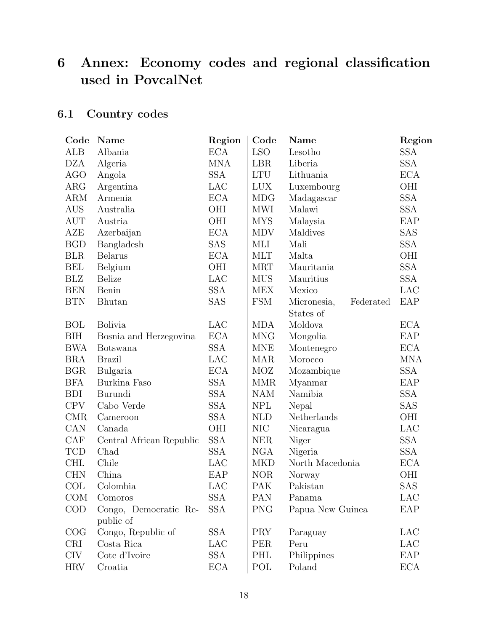# 6 Annex: Economy codes and regional classification used in PovcalNet

# 6.1 Country codes

| Code       | Name                               | Region     | Code       | Name                     | Region     |
|------------|------------------------------------|------------|------------|--------------------------|------------|
| ALB        | Albania                            | <b>ECA</b> | <b>LSO</b> | Lesotho                  | <b>SSA</b> |
| <b>DZA</b> | Algeria                            | <b>MNA</b> | <b>LBR</b> | Liberia                  | <b>SSA</b> |
| <b>AGO</b> | Angola                             | <b>SSA</b> | <b>LTU</b> | Lithuania                | <b>ECA</b> |
| ARG        | Argentina                          | <b>LAC</b> | <b>LUX</b> | Luxembourg               | OHI        |
| <b>ARM</b> | Armenia                            | <b>ECA</b> | <b>MDG</b> | Madagascar               | <b>SSA</b> |
| AUS        | Australia                          | OHI        | <b>MWI</b> | Malawi                   | <b>SSA</b> |
| <b>AUT</b> | Austria                            | <b>OHI</b> | <b>MYS</b> | Malaysia                 | EAP        |
| AZE        | Azerbaijan                         | <b>ECA</b> | <b>MDV</b> | Maldives                 | SAS        |
| <b>BGD</b> | Bangladesh                         | <b>SAS</b> | MLI        | Mali                     | <b>SSA</b> |
| <b>BLR</b> | <b>Belarus</b>                     | <b>ECA</b> | <b>MLT</b> | Malta                    | OHI        |
| <b>BEL</b> | Belgium                            | OHI        | <b>MRT</b> | Mauritania               | <b>SSA</b> |
| <b>BLZ</b> | <b>Belize</b>                      | LAC        | <b>MUS</b> | Mauritius                | <b>SSA</b> |
| <b>BEN</b> | Benin                              | <b>SSA</b> | <b>MEX</b> | Mexico                   | LAC        |
| <b>BTN</b> | Bhutan                             | SAS        | <b>FSM</b> | Micronesia,<br>Federated | EAP        |
|            |                                    |            |            | States of                |            |
| <b>BOL</b> | <b>Bolivia</b>                     | <b>LAC</b> | <b>MDA</b> | Moldova                  | <b>ECA</b> |
| <b>BIH</b> | Bosnia and Herzegovina             | <b>ECA</b> | <b>MNG</b> | Mongolia                 | EAP        |
| <b>BWA</b> | <b>Botswana</b>                    | <b>SSA</b> | <b>MNE</b> | Montenegro               | <b>ECA</b> |
| <b>BRA</b> | <b>Brazil</b>                      | LAC        | <b>MAR</b> | Morocco                  | <b>MNA</b> |
| <b>BGR</b> | Bulgaria                           | <b>ECA</b> | MOZ        | Mozambique               | <b>SSA</b> |
| <b>BFA</b> | Burkina Faso                       | <b>SSA</b> | <b>MMR</b> | Myanmar                  | EAP        |
| <b>BDI</b> | Burundi                            | <b>SSA</b> | <b>NAM</b> | Namibia                  | <b>SSA</b> |
| <b>CPV</b> | Cabo Verde                         | <b>SSA</b> | <b>NPL</b> | Nepal                    | <b>SAS</b> |
| <b>CMR</b> | Cameroon                           | <b>SSA</b> | <b>NLD</b> | Netherlands              | OHI        |
| CAN        | Canada                             | OHI        | <b>NIC</b> | Nicaragua                | LAC        |
| CAF        | Central African Republic           | <b>SSA</b> | <b>NER</b> | Niger                    | <b>SSA</b> |
| <b>TCD</b> | Chad                               | <b>SSA</b> | <b>NGA</b> | Nigeria                  | <b>SSA</b> |
| <b>CHL</b> | Chile                              | LAC        | <b>MKD</b> | North Macedonia          | <b>ECA</b> |
| <b>CHN</b> | China                              | EAP        | <b>NOR</b> | Norway                   | OHI        |
| COL        | Colombia                           | LAC        | PAK        | Pakistan                 | <b>SAS</b> |
| <b>COM</b> | Comoros                            | SSA        | PAN        | Panama                   | LAC        |
| <b>COD</b> | Congo, Democratic Re-<br>public of | <b>SSA</b> | <b>PNG</b> | Papua New Guinea         | EAP        |
| COG        | Congo, Republic of                 | <b>SSA</b> | <b>PRY</b> | Paraguay                 | LAC        |
| <b>CRI</b> | Costa Rica                         | LAC        | <b>PER</b> | Peru                     | LAC        |
| <b>CIV</b> | Cote d'Ivoire                      | <b>SSA</b> | PHL        | Philippines              | EAP        |
| <b>HRV</b> | Croatia                            | ECA        | POL        | Poland                   | <b>ECA</b> |
|            |                                    |            |            |                          |            |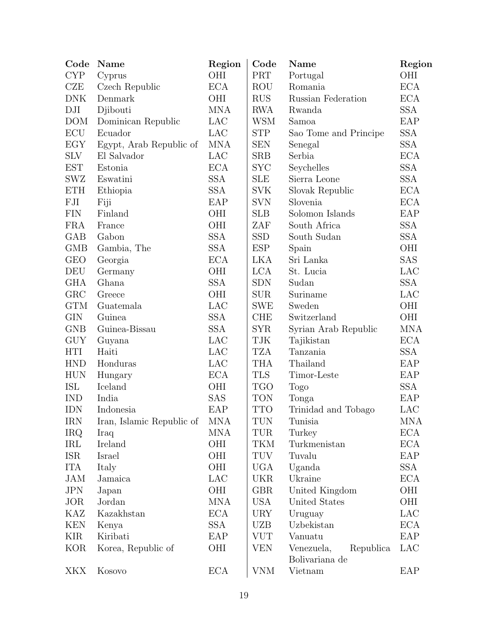| Code       | Name                      | Region     | Code                        | Name                                      | Region     |
|------------|---------------------------|------------|-----------------------------|-------------------------------------------|------------|
| <b>CYP</b> | Cyprus                    | OHI        | PRT                         | Portugal                                  | OHI        |
| CZE        | Czech Republic            | <b>ECA</b> | <b>ROU</b>                  | Romania                                   | <b>ECA</b> |
| <b>DNK</b> | Denmark                   | OHI        | <b>RUS</b>                  | Russian Federation                        | <b>ECA</b> |
| DJI        | Djibouti                  | <b>MNA</b> | <b>RWA</b>                  | Rwanda                                    | <b>SSA</b> |
| <b>DOM</b> | Dominican Republic        | LAC        | <b>WSM</b>                  | Samoa                                     | EAP        |
| ECU        | Ecuador                   | LAC        | <b>STP</b>                  | Sao Tome and Principe                     | <b>SSA</b> |
| EGY        | Egypt, Arab Republic of   | <b>MNA</b> | <b>SEN</b>                  | Senegal                                   | <b>SSA</b> |
| <b>SLV</b> | El Salvador               | LAC        | <b>SRB</b>                  | Serbia                                    | <b>ECA</b> |
| <b>EST</b> | Estonia                   | <b>ECA</b> | <b>SYC</b>                  | Seychelles                                | <b>SSA</b> |
| <b>SWZ</b> | Eswatini                  | <b>SSA</b> | <b>SLE</b>                  | Sierra Leone                              | <b>SSA</b> |
| <b>ETH</b> | Ethiopia                  | <b>SSA</b> | <b>SVK</b>                  | Slovak Republic                           | <b>ECA</b> |
| FJI        | Fiji                      | EAP        | <b>SVN</b>                  | Slovenia                                  | <b>ECA</b> |
| <b>FIN</b> | Finland                   | OHI        | <b>SLB</b>                  | Solomon Islands                           | EAP        |
| <b>FRA</b> | France                    | OHI        | ZAF                         | South Africa                              | <b>SSA</b> |
| GAB        | Gabon                     | <b>SSA</b> | <b>SSD</b>                  | South Sudan                               | <b>SSA</b> |
| <b>GMB</b> | Gambia, The               | <b>SSA</b> | <b>ESP</b>                  | Spain                                     | OHI        |
| <b>GEO</b> | Georgia                   | <b>ECA</b> | <b>LKA</b>                  | Sri Lanka                                 | SAS        |
| DEU        | Germany                   | OHI        | <b>LCA</b>                  | St. Lucia                                 | LAC        |
| <b>GHA</b> | Ghana                     | <b>SSA</b> | <b>SDN</b>                  | Sudan                                     | <b>SSA</b> |
| GRC        | Greece                    | OHI        | <b>SUR</b>                  | Suriname                                  | LAC        |
| <b>GTM</b> | Guatemala                 | LAC        | <b>SWE</b>                  | Sweden                                    | OHI        |
| <b>GIN</b> | Guinea                    | <b>SSA</b> | <b>CHE</b>                  | Switzerland                               | OHI        |
| <b>GNB</b> | Guinea-Bissau             | <b>SSA</b> | $\ensuremath{\mathrm{SYR}}$ | Syrian Arab Republic                      | <b>MNA</b> |
| <b>GUY</b> | Guyana                    | LAC        | ${\rm TJK}$                 | Tajikistan                                | <b>ECA</b> |
| <b>HTI</b> | Haiti                     | LAC        | <b>TZA</b>                  | Tanzania                                  | <b>SSA</b> |
| <b>HND</b> | Honduras                  | LAC        | <b>THA</b>                  | Thailand                                  | EAP        |
| <b>HUN</b> | Hungary                   | <b>ECA</b> | <b>TLS</b>                  | Timor-Leste                               | EAP        |
| ISL        | Iceland                   | OHI        | <b>TGO</b>                  | Togo                                      | <b>SSA</b> |
| <b>IND</b> | India                     | <b>SAS</b> | <b>TON</b>                  | Tonga                                     | EAP        |
| <b>IDN</b> | Indonesia                 | EAP        | <b>TTO</b>                  | Trinidad and Tobago                       | LAC        |
| <b>IRN</b> | Iran, Islamic Republic of | <b>MNA</b> | TUN                         | Tunisia                                   | MNA        |
| <b>IRQ</b> | Iraq                      | <b>MNA</b> | TUR                         | Turkey                                    | <b>ECA</b> |
| IRL        | Ireland                   | OHI        | TKM                         | Turkmenistan                              | <b>ECA</b> |
| <b>ISR</b> | Israel                    | <b>OHI</b> | TUV                         | Tuvalu                                    | EAP        |
| <b>ITA</b> | Italy                     | OHI        | UGA                         | Uganda                                    | <b>SSA</b> |
| <b>JAM</b> | Jamaica                   | LAC        | <b>UKR</b>                  | Ukraine                                   | <b>ECA</b> |
| <b>JPN</b> | Japan                     | OHI        | GBR                         | United Kingdom                            | OHI        |
| <b>JOR</b> | Jordan                    | <b>MNA</b> | <b>USA</b>                  | United States                             | OHI        |
| KAZ        | Kazakhstan                | <b>ECA</b> | <b>URY</b>                  | Uruguay                                   | LAC        |
| <b>KEN</b> | Kenya                     | <b>SSA</b> | UZB                         | Uzbekistan                                | <b>ECA</b> |
| <b>KIR</b> | Kiribati                  | EAP        | <b>VUT</b>                  | Vanuatu                                   | EAP        |
| <b>KOR</b> | Korea, Republic of        | OHI        | <b>VEN</b>                  | Venezuela,<br>Republica<br>Bolivariana de | LAC        |
| <b>XKX</b> | Kosovo                    | <b>ECA</b> | <b>VNM</b>                  | Vietnam                                   | EAP        |
|            |                           |            |                             |                                           |            |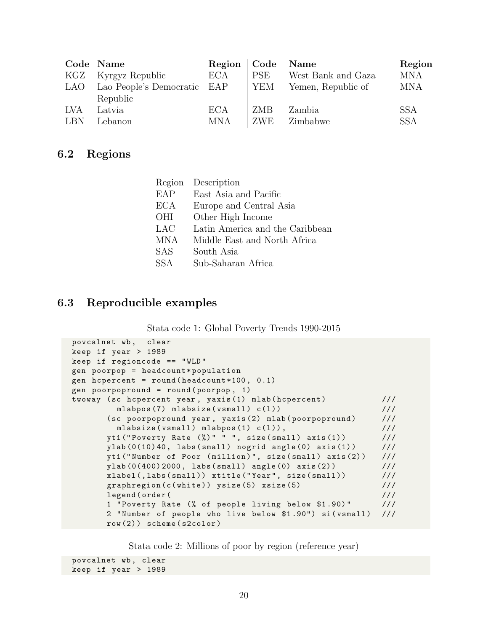|     | Code Name                   | Region   Code Name |            |                    | Region     |
|-----|-----------------------------|--------------------|------------|--------------------|------------|
| KGZ | Kyrgyz Republic             | <b>ECA</b>         | <b>PSE</b> | West Bank and Gaza | <b>MNA</b> |
| LAO | Lao People's Democratic EAP |                    | YEM        | Yemen, Republic of | <b>MNA</b> |
|     | Republic                    |                    |            |                    |            |
| LVA | Latvia                      | <b>ECA</b>         | ZMB        | Zambia             | <b>SSA</b> |
| LBN | Lebanon                     | <b>MNA</b>         | ZWE        | Zimbabwe           | <b>SSA</b> |

### 6.2 Regions

| Region     | Description                     |
|------------|---------------------------------|
| EAP        | East Asia and Pacific           |
| <b>ECA</b> | Europe and Central Asia         |
| <b>OHI</b> | Other High Income               |
| LAC        | Latin America and the Caribbean |
| <b>MNA</b> | Middle East and North Africa    |
| <b>SAS</b> | South Asia                      |
| SS A       | Sub-Saharan Africa              |
|            |                                 |

### 6.3 Reproducible examples

| Stata code 1: Global Poverty Trends 1990-2015 |  |  |  |
|-----------------------------------------------|--|--|--|
|                                               |  |  |  |

```
povcalnet wb, clear
keep if year > 1989
keep if regioncode == " WLD "
gen poorpop = headcount * population
gen hcpercent = round ( headcount *100 , 0.1)
gen poorpopround = round ( poorpop , 1)
twoway (sc hcpercent year, yaxis (1) mlab (hcpercent) \frac{1}{1}mlabpos (7) mlabsize (vsmall) c(1) ) (1) ///
       (sc poorpopround year, yaxis (2) mlab (poorpopround) ///
        mlabsize (vsmall) mlabpos (1) c(1)), ///
      yti ("Poverty Rate (\%)" " ", size (small) axis (1)) ///
      ylab (0(10) 40, labs (small) nogrid angle (0) axis (1) ) ///
      yti ("Number of Poor (million)", size (small) axis (2)) ///
      ylab (0(400) 2000, labs (small) angle (0) axis (2) ) \frac{1}{1}xlabel( , 1abel, 1abs (small) ) xtille('Year', size(small) ) ///
      graphregion (c (white)) ysize (5) xsize (5) \frac{1}{1}legend (order ( \frac{1}{2} ///
      1 " Poverty Rate (% of people living below $1 .90) " ///
      2 "Number of people who live below $1.90") si (vsmall) ///
      row (2) ) scheme ( s2color )
```
Stata code 2: Millions of poor by region (reference year)

```
povcalnet wb, clear
keep if year > 1989
```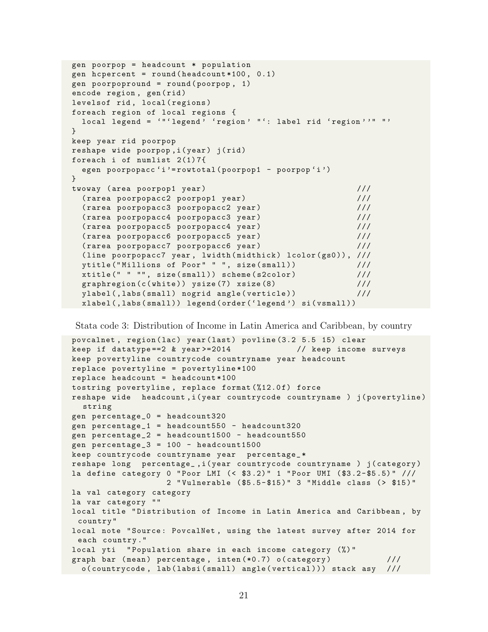```
gen poorpop = headcount * population
gen hcpercent = round ( headcount *100 , 0.1)
gen poorpopround = round ( poorpop , 1)
encode region, gen(rid)
levelsof rid, local (regions)
foreach region of local regions {
  local legend = '"'legend' 'region' "': label rid 'region''" "'
}
keep year rid poorpop
reshape wide poorpop, i (year) j (rid)
foreach i of numlist 2(1) 7{
  egen poorpopacc 'i '= rowtotal ( poorpop1 - poorpop 'i ')
}
twoway (area poorpop1 year) \frac{1}{1} ///
  ( rarea poorpopacc2 poorpop1 year ) ///
  ( rarea poorpopacc3 poorpopacc2 year ) ///
 ( rarea poorpopacc4 poorpopacc3 year ) ///
  ( rarea poorpopacc5 poorpopacc4 year ) ///
  ( rarea poorpopacc6 poorpopacc5 year ) ///
  ( rarea poorpopacc7 poorpopacc6 year ) ///
  (line poorpopacc7 year, lwidth (midthick) lcolor (gs0)), ///
  ytitle ("Millions of Poor" " ", size (small)) ///xtitle (" " "", size (small)) scheme (s2color) \frac{1}{1}graphregion (c (white)) ysize (7) xsize (8) \frac{1}{1}ylabel (, labs ( small ) nogrid angle ( verticle ) ) \frac{1}{1}xlabel (, labs (small)) legend (order ('legend') si (vsmall))
```
Stata code 3: Distribution of Income in Latin America and Caribbean, by country

```
povcalnet, region (lac) year (last) povline (3.2 5.5 15) clear
keep if datatype ==2 & year >=2014 // keep income surveys
keep povertyline countrycode countryname year headcount
replace povertyline = povertyline *100
replace headcount = headcount *100
tostring povertyline, replace format (%12.0f) force
reshape wide headcount, i (year countrycode countryname ) j (povertyline)
  string
gen percentage_0 = headcount320
gen percentage_1 = headcount550 - headcount320
gen percentage_2 = headcount1500 - headcount550
gen percentage_3 = 100 - headcount1500
keep countrycode countryname year percentage_ *
reshape long percentage_, i (year countrycode countryname ) j (category)
la define category 0 "Poor LMI (< $3.2)" 1 "Poor UMI ($3.2-$5.5)" ///
                   2 " Vulnerable ( $5 .5 - $15 ) " 3 " Middle class ( > $15 ) "
la val category category
la var category ""
local title " Distribution of Income in Latin America and Caribbean , by
 country "
local note "Source: PovcalNet, using the latest survey after 2014 for
 each country ."
local yti " Population share in each income category (%) "
graph bar (mean) percentage, inten (*0.7) o (category) ///
  o (countrycode, lab (labsi (small) angle (vertical))) stack asy ///
```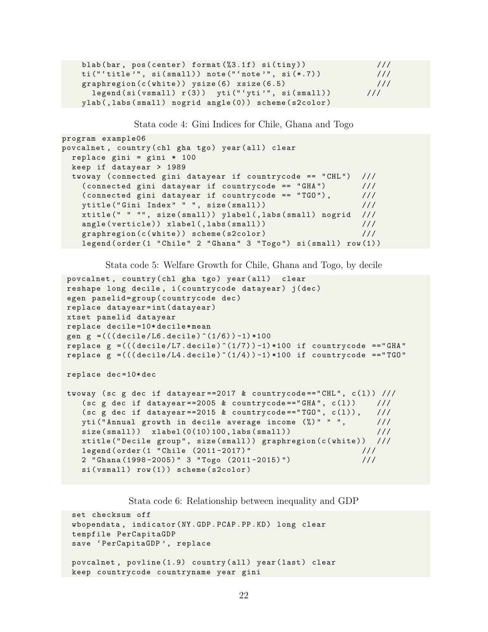| blab(bar, pos(center) format(%3.1f) si(tiny))        | 111 |
|------------------------------------------------------|-----|
| $ti("'title", si(small)) note("'note", si(*.7))$     | 111 |
| graphregion( $c(\text{white})$ ) ysize(6) xsize(6.5) | 111 |
| legend(si(vsmall) r(3)) yti("'yti'", si(small))      | 111 |
| ylab(,labs(small) nogrid angle(0)) scheme(s2color)   |     |

Stata code 4: Gini Indices for Chile, Ghana and Togo

```
program example06
povcalnet, country (chl gha tgo) year (all) clear
  replace gini = gini * 100keep if datayear > 1989
  twoway ( connected gini datayear if countrycode == " CHL ") ///
    (connected gini datayear if countrycode == "GHA") ///( connected gini datayear if countrycode == " TGO ") , ///
    ytitle ("Gini Index" " ", size (small)) \frac{1}{1}xtitle (" " "", size (small)) ylabel (, labs (small) nogrid ///
    angle ( verticle ) ) xlabel (, labs ( small ) ) \frac{1}{1} ///
    graphregion ( c ( white ) ) scheme ( s2color ) \frac{1}{2} //
    legend ( order (1 " Chile" 2 " Ghana" 3 " Togo") si ( small ) row (1) )
```
Stata code 5: Welfare Growth for Chile, Ghana and Togo, by decile

```
povcalnet, country (chl gha tgo) year (all) clear
reshape long decile, i (countrycode datayear) j (dec)
egen panelid=group (countrycode dec)
replace datayear = int ( datayear )
xtset panelid datayear
replace decile =10* decile * mean
gen g = (((decile/L6. decide)^(1/6)) -1) *100replace g = (((decile/L7. decile)^(1/7)) -1)*100 if countrycode == "GHA"
replace g = (((decile/L4. decile)^(1/4)) -1)*100 if countrycode =="TGO"
replace dec =10* dec
twoway (sc g dec if datayear==2017 & countrycode=="CHL", c(1)) ///
   (sc g dec if datayear == 2005 & countrycode == "GHA'', c(1)) ///
   (sc g dec if datayear==2015 & countrycode=="TGO", c(1)), ///
   yti ("Annual growth in decile average income (\%)" " ", ///
   size(small) xlabel (0(10) 100, labs (small) ) ///
   xtitle ("Decile group", size (small)) graphregion (c (white)) ///
   legend ( order (1 " Chile (2011 -2017) " ///
   2 " Ghana (1998 -2005) " 3 " Togo (2011 -2015) ") ///
   si(vsmall) row(1)) scheme (s2color)
```
Stata code 6: Relationship between inequality and GDP

```
set checksum off
wbopendata, indicator (NY.GDP.PCAP.PP.KD) long clear
tempfile PerCapitaGDP
save 'PerCapitaGDP', replace
povcalnet, povline (1.9) country (all) year (last) clear
keep countrycode countryname year gini
```